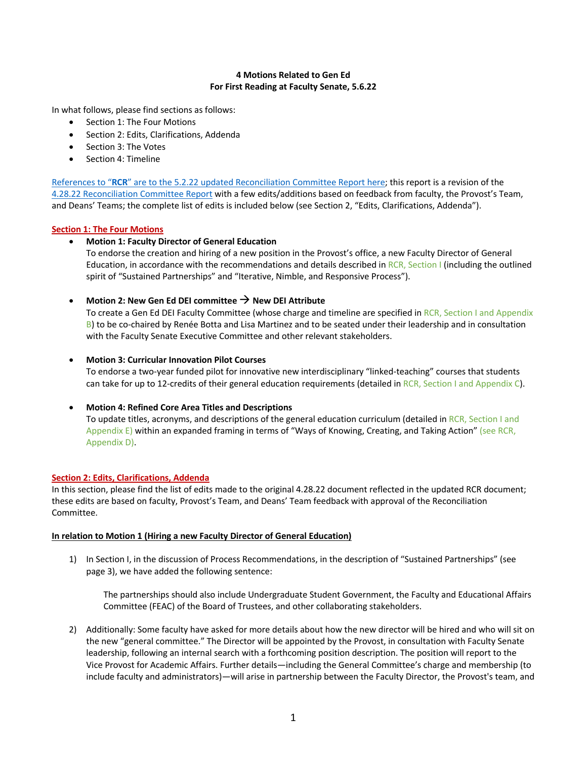## **4 Motions Related to Gen Ed For First Reading at Faculty Senate, 5.6.22**

In what follows, please find sections as follows:

- Section 1: The Four Motions
- Section 2: Edits, Clarifications, Addenda
- Section 3: The Votes
- Section 4: Timeline

References to "**RCR**" are to the 5.2.22 [updated Reconciliation Committee Report here](https://www.du.edu/sites/default/files/2022-05/5_2_22_RCR_Updated_Gen_Ed_Reconciliation_Committee_Report.pdf); this report is a revision of the [4.28.22 Reconciliation Committee Report](https://www.du.edu/sites/default/files/2022-04/Gen_Ed_Report_Reconciliation_Committee_4_28_22.pdf) with a few edits/additions based on feedback from faculty, the Provost's Team, and Deans' Teams; the complete list of edits is included below (see Section 2, "Edits, Clarifications, Addenda").

## **Section 1: The Four Motions**

## • **Motion 1: Faculty Director of General Education**

To endorse the creation and hiring of a new position in the Provost's office, a new Faculty Director of General Education, in accordance with the recommendations and details described in RCR, Section I (including the outlined spirit of "Sustained Partnerships" and "Iterative, Nimble, and Responsive Process").

# • **Motion 2: New Gen Ed DEI committee** à **New DEI Attribute**

To create a Gen Ed DEI Faculty Committee (whose charge and timeline are specified in RCR, Section I and Appendix B) to be co-chaired by Renée Botta and Lisa Martinez and to be seated under their leadership and in consultation with the Faculty Senate Executive Committee and other relevant stakeholders.

## • **Motion 3: Curricular Innovation Pilot Courses**

To endorse a two-year funded pilot for innovative new interdisciplinary "linked-teaching" courses that students can take for up to 12-credits of their general education requirements (detailed in RCR, Section I and Appendix C).

## • **Motion 4: Refined Core Area Titles and Descriptions**

To update titles, acronyms, and descriptions of the general education curriculum (detailed in RCR, Section I and Appendix E) within an expanded framing in terms of "Ways of Knowing, Creating, and Taking Action" (see RCR, Appendix D).

## **Section 2: Edits, Clarifications, Addenda**

In this section, please find the list of edits made to the original 4.28.22 document reflected in the updated RCR document; these edits are based on faculty, Provost's Team, and Deans' Team feedback with approval of the Reconciliation Committee.

## **In relation to Motion 1 (Hiring a new Faculty Director of General Education)**

1) In Section I, in the discussion of Process Recommendations, in the description of "Sustained Partnerships" (see page 3), we have added the following sentence:

The partnerships should also include Undergraduate Student Government, the Faculty and Educational Affairs Committee (FEAC) of the Board of Trustees, and other collaborating stakeholders.

2) Additionally: Some faculty have asked for more details about how the new director will be hired and who will sit on the new "general committee." The Director will be appointed by the Provost, in consultation with Faculty Senate leadership, following an internal search with a forthcoming position description. The position will report to the Vice Provost for Academic Affairs. Further details—including the General Committee's charge and membership (to include faculty and administrators)—will arise in partnership between the Faculty Director, the Provost's team, and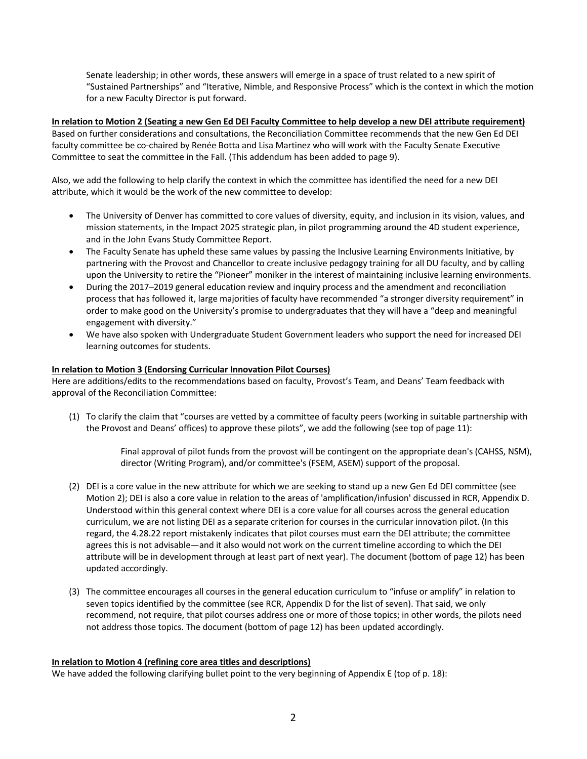Senate leadership; in other words, these answers will emerge in a space of trust related to a new spirit of "Sustained Partnerships" and "Iterative, Nimble, and Responsive Process" which is the context in which the motion for a new Faculty Director is put forward.

**In relation to Motion 2 (Seating a new Gen Ed DEI Faculty Committee to help develop a new DEI attribute requirement)** Based on further considerations and consultations, the Reconciliation Committee recommends that the new Gen Ed DEI faculty committee be co-chaired by Renée Botta and Lisa Martinez who will work with the Faculty Senate Executive Committee to seat the committee in the Fall. (This addendum has been added to page 9).

Also, we add the following to help clarify the context in which the committee has identified the need for a new DEI attribute, which it would be the work of the new committee to develop:

- The University of Denver has committed to core values of diversity, equity, and inclusion in its vision, values, and mission statements, in the Impact 2025 strategic plan, in pilot programming around the 4D student experience, and in the John Evans Study Committee Report.
- The Faculty Senate has upheld these same values by passing the Inclusive Learning Environments Initiative, by partnering with the Provost and Chancellor to create inclusive pedagogy training for all DU faculty, and by calling upon the University to retire the "Pioneer" moniker in the interest of maintaining inclusive learning environments.
- During the 2017–2019 general education review and inquiry process and the amendment and reconciliation process that has followed it, large majorities of faculty have recommended "a stronger diversity requirement" in order to make good on the University's promise to undergraduates that they will have a "deep and meaningful engagement with diversity."
- We have also spoken with Undergraduate Student Government leaders who support the need for increased DEI learning outcomes for students.

## **In relation to Motion 3 (Endorsing Curricular Innovation Pilot Courses)**

Here are additions/edits to the recommendations based on faculty, Provost's Team, and Deans' Team feedback with approval of the Reconciliation Committee:

(1) To clarify the claim that "courses are vetted by a committee of faculty peers (working in suitable partnership with the Provost and Deans' offices) to approve these pilots", we add the following (see top of page 11):

> Final approval of pilot funds from the provost will be contingent on the appropriate dean's (CAHSS, NSM), director (Writing Program), and/or committee's (FSEM, ASEM) support of the proposal.

- (2) DEI is a core value in the new attribute for which we are seeking to stand up a new Gen Ed DEI committee (see Motion 2); DEI is also a core value in relation to the areas of 'amplification/infusion' discussed in RCR, Appendix D. Understood within this general context where DEI is a core value for all courses across the general education curriculum, we are not listing DEI as a separate criterion for courses in the curricular innovation pilot. (In this regard, the 4.28.22 report mistakenly indicates that pilot courses must earn the DEI attribute; the committee agrees this is not advisable—and it also would not work on the current timeline according to which the DEI attribute will be in development through at least part of next year). The document (bottom of page 12) has been updated accordingly.
- (3) The committee encourages all courses in the general education curriculum to "infuse or amplify" in relation to seven topics identified by the committee (see RCR, Appendix D for the list of seven). That said, we only recommend, not require, that pilot courses address one or more of those topics; in other words, the pilots need not address those topics. The document (bottom of page 12) has been updated accordingly.

## **In relation to Motion 4 (refining core area titles and descriptions)**

We have added the following clarifying bullet point to the very beginning of Appendix E (top of p. 18):